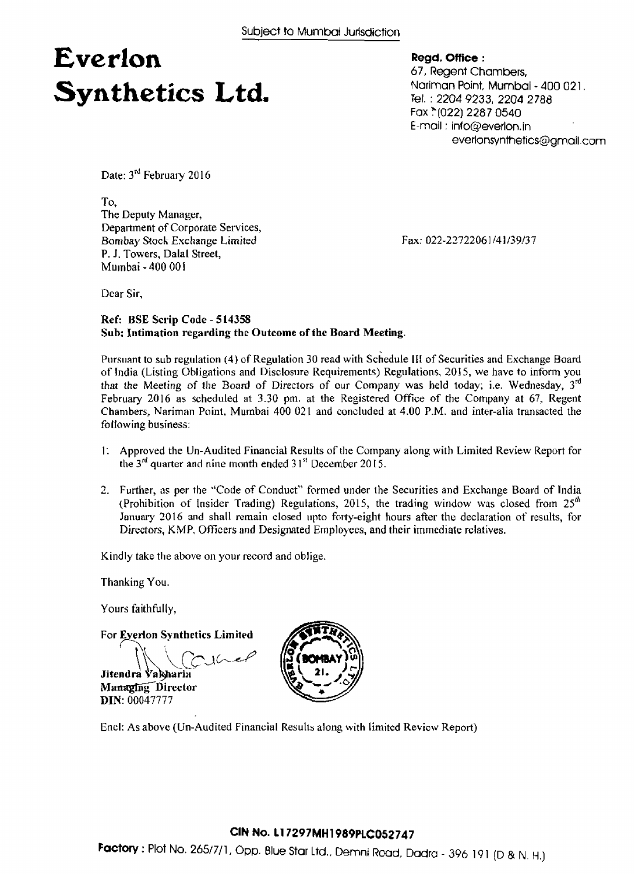## **Everlon Synthetics Ltd.**

**~egd. mice** : 67, Regent Chambers, Nariman Point, Mumbai - 400 02 1. Tel. : **2204** 9233, **2204** 2788 **Fax** \*(022) 2287 0540 E-moil : info@everlon.in everlonsynthetics@grnail.com

Date: 3<sup>rd</sup> February 2016

To, **The Deputy Manager, Department of Corporate Services, Bombay Stoch Exchange** *Limited*  **P. J. Towers, Dalal Street,**  Mu~nbai - **400 001** 

**Fax: 022-2772206** 1 /4 **1/39/37** 

Dear **Sir.** 

#### **Reef: BSE Scrip Code** - **5 14358 Sub: Intimation regarding the Outcome of the Board Meeting.**

**Pursuant to sub regulation (3)** of **Regulation** 30 **read with schedule III** of **Securities and** Exchange **Board of India (Listing Obligations and Disclosure Requirements) Regulations, 201** *5,* **we have to inform you that the** *Meeting* **of** *the* **Board** of Directors of our **Company was held today; i.e. Wednesday, 3d February 2016 as scheduled at** 3.30 **pm. at the Registered Office of the Company at** *67,* **Regent Chambers, Nariman** Point, Murnbai **400 021** and **concluded at 4.00** P.M. **and inter-alia** transacted **the**  fo **liaw** ing **business:** 

- 1; **Approved the Un-Audited Financial Results** of **the** Company along **with Limited Review Report for**  the  $3<sup>nd</sup>$  quarter and nine month ended  $31<sup>st</sup>$  December 2015.
- 2. Further, as per the "Code of Conduct" formed under the Securities and Exchange Board of India (Prohibition **of Insider** Trading) **Regulations, 20 15,** the **trading wirldow was closed** from 25'" **January 20 16 and shall remain closed** upto **forty-eight hours after the declaration of results, for Directors, K** M **P,** Officers **and Designated** Employees, **and their immediate** relatives.

Kindly **take** the above **on** your **record** and ob **jige.** 

**Thanking You.** 

Yours **faithfully,** 

**DIN: 00047777** 

**For Evedon Synthetics Limited** 

Jitendra Vakharin Managing Director



Encl: **As above (Un-Aud** ited **Financial Res** ulh **a!ong with liniitcd Revicw** Report)

### **CIN No. 11 7297MH1989PLC052747**

**Factory : Plot No. 265/7/1, Opp. Blue Star Ltd., Demni Road, Dadra - 396 191 (D & N. H.)**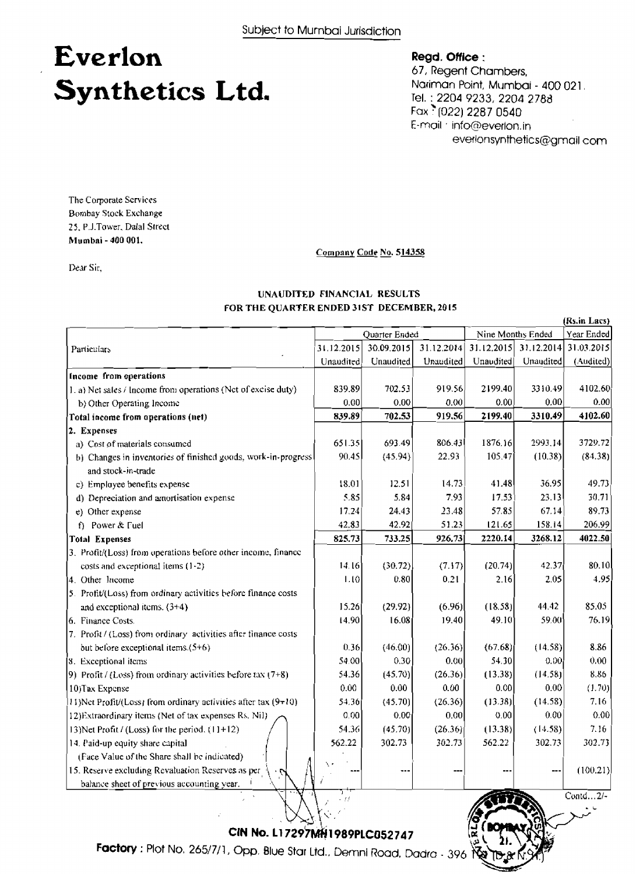## Everlon Synthetics Ltd.

Regd. Office:

67, Regent Chambers, Nariman Point, Mumbai - 400 021. Tel.: 2204 9233, 2204 2788 Fax 1022) 2287 0540 E-mail info@everlon.in everlonsynthetics@gmail.com

 $ID.8$ 

The Corporate Services Bombay Stock Exchange 25, P.J.Tower, Dalal Street Mumbai - 400 001.

Dear Sir,

Company Code No. 514358

#### UNAUDITED FINANCIAL RESULTS FOR THE QUARTER ENDED 31ST DECEMBER, 2015

|                                                                          | (Rs.in Lacs) |               |            |            |                   |              |
|--------------------------------------------------------------------------|--------------|---------------|------------|------------|-------------------|--------------|
|                                                                          |              | Quarter Ended |            |            | Nine Months Ended | Year Ended   |
| Particulars                                                              | 31.12.2015   | 30.09.2015    | 31.12.2014 | 31.12.2015 | 31.12.2014        | 31.03.2015   |
|                                                                          | Unaudited    | Unaudited     | Unaudited  | Unaudited  | Unaudited         | (Audited)    |
| Income from operations                                                   |              |               |            |            |                   |              |
| 1. a) Net sales / Income from operations (Net of excise duty)            | 839.89       | 702.53        | 919.56     | 2199.40    | 3310.49           | 4102.60      |
| b) Other Operating Income                                                | 0.00         | 0.00          | 0.00       | 0.00       | 0,00              | 0.00         |
| Total income from operations (net)                                       | 839.89       | 702.53        | 919.56     | 2199.40    | 3310.49           | 4102.60      |
| 2. Expenses                                                              |              |               |            |            |                   |              |
| a) Cost of materials consumed                                            | 651.35       | 693.49        | 806.43     | 1876.16    | 2993,14           | 3729.72      |
| b) Changes in inventories of finished goods, work-in-progress            | 90.45        | (45.94)       | 22.93      | 105.47     | (10.38)           | (84.38)      |
| and stock-in-trade                                                       |              |               |            |            |                   |              |
| c) Employee benefits expense                                             | 18.01        | 12.51         | 14.73      | 41.48      | 36.95             | 49.73        |
| d) Depreciation and amortisation expense                                 | 5.85         | 5.84          | 7.93       | 17.53      | 23.13             | 30.71        |
| e) Other expense                                                         | 17.24        | 24.43         | 23.48      | 57.85      | 67.14             | 89.73        |
| f) Power & Fuel                                                          | 42.83        | 42.92         | 51.23      | 121.65     | 158.14            | 206.99       |
| <b>Total Expenses</b>                                                    | 825.73       | 733.25        | 926.73     | 2220.14    | 3268.12           | 4022.50      |
| 3. Profit/(Loss) from operations before other income, finance            |              |               |            |            |                   |              |
| costs and exceptional items (1-2)                                        | 14.16        | (30.72)       | (7.17)     | (20.74)    | 42.37             | 80.10        |
| 4. Other Income                                                          | 1.10         | 0.80          | 0.21       | 2.16       | 2.05              | 4.95         |
| 5. Profit/(Loss) from ordinary activities before finance costs           |              |               |            |            |                   |              |
| and exceptional items. (3+4)                                             | 15.26        | (29.92)       | (6.96)     | (18.58)    | 44.42             | 85.05        |
| 6. Finance Costs.                                                        | 14.90        | 16.08         | 19.40      | 49.10      | 59.00             | 76.19        |
| 7. Profit / (Loss) from ordinary activities after finance costs          |              |               |            |            |                   |              |
| but before exceptional items.(5+6)                                       | 0.36         | (46.00)       | (26.36)    | (67.68)    | (14.58)           | 8.86         |
| [8. Exceptional items                                                    | 54.00        | 0.30          | 0.00       | 54.30      | 0.00              | 0.00         |
| 9) Profit / (Loss) from ordinary activities before tax $(7+8)$           | 54.36        | (45.70)       | (26.36)    | (13.38)    | (14.58)           | 8.86         |
| 10) Tax Expense                                                          | 0.00         | 0.00          | 0.00       | 0.00       | 0.00              | (1.70)       |
| $(11)$ Net Profit/(Loss) from ordinary activities after tax (9 $\pm$ 10) | 54.36        | (45.70)       | (26.36)    | (13.38)    | (14.58)           | 7.16         |
| 12) Extraordinary items (Net of tax expenses Rs. Nil)                    | 0.00         | 0.00          | 0.00       | 0.00       | 0.00              | 0.00         |
| 13) Net Profit / (Loss) for the period. $(11+12)$                        | 54.36        | (45.70)       | (26.36)    | (13.38)    | (14.58)           | 7.16         |
| 14. Paid-up equity share capital                                         | 562.22       | 302.73        | 302.73     | 562.22     | 302.73            | 302.73       |
| (Face Value of the Share shall be indicated)                             |              |               |            |            |                   |              |
| 15. Reserve excluding Revaluation Reserves as per                        |              |               |            |            |                   | (100.21)     |
| balance sheet of previous accounting year.                               |              |               |            |            |                   |              |
|                                                                          |              |               |            |            |                   | Contd $2/$ - |

CIN No. L17297MH1989PLC052747

Factory: Plot No. 265/7/1, Opp. Blue Star Ltd., Demni Road, Dadra - 396 Ra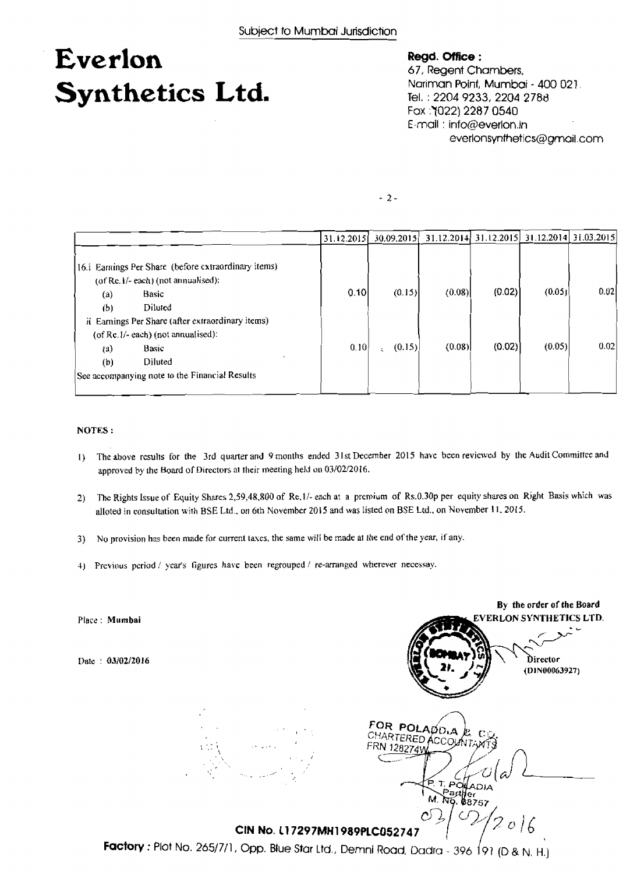## **Everlon Synthetics Ltd.**

#### **Regd. Office** :

*6* 7, **Regent** Chambers, Nariman Point, Mumboi - 400 021 Tel. : 2204 9233, 2204 **2788**  Fox :7022) **2287 0540**  E-mail : info@everlon.in everlonsynthetics@gmail.com

 $-2-$ 

|                                                                                                                                                                                                      | 31.12.2015 | 30.09.2015 |        | 31.12.2014 31.12.2015 |        | 31.12.2014 31.03.2015) |
|------------------------------------------------------------------------------------------------------------------------------------------------------------------------------------------------------|------------|------------|--------|-----------------------|--------|------------------------|
| 16.i Earnings Per Share (before extraordinary items)<br>$($ of Re. $\frac{1}{2}$ each $)$ (not annualised):<br><b>Basic</b><br>(a)<br>Diluted<br>(b)                                                 | 0.10       | (0.15)     | (0.08) | (0.02)                | (0.05) | 0.02                   |
| ii Earnings Per Share (after extraordinary items)<br>(of $Re.1/-$ each) (not annualised):<br>Basic<br>$\left( \mathbf{a}\right)$<br>Diluted<br>(b)<br>See accompanying note to the Financial Results | 0, 10      | (0.15)     | (0.08) | (0.02)                | (0.05) | 0.02                   |

#### **NOTES** :

- **I)** Tht **above rcsulls for the** 3rd **quarter and** *9* **months** ended **31st** December **2015 hare been reviewed by the Audit** Committee *md*  approved by the Board of Directors at their meeting held on 03/02/2016.
- **2)** Thc **Rights Issue of Equity Shares 2,59,48,X00 of Re. l** *I-* each at **a premium** of **Rs.0.30~ per equity shares** on Right Basis **which was**  alloted **in consultation with BSE** Ltd.. **on 6th Novemkr 2015 and was** listed **on BSE Ltd., on November 11. 2015.**
- **3) No provisiun has been made for current la\cs, the same will be made a1** *Il~e* **end** of **the year, if any.**
- 4) Previous period / year's figures have been regrouped / re-arranged wherever necessay.

**By the order of the Board EHLON SYNTHETICS LTD. Place: Mumbai**  Director Date : **0310212016**  (DIN00063927) FOR POLADD<sub>A</sub> CHARTERED ACCOUN RN 128274V  $\mathbf{T}$ POHADIA , POILADIA<br>Partjer<br>Ng. 08757  $M$  $N_0$ **Factory :** Plot No. 265/7/1, Opp. Blue Star Ltd., Demni Road, Dadra - 396 191 (D & N, H.) *CfN* **No. 11 7297MH1989PLC052 74 7**